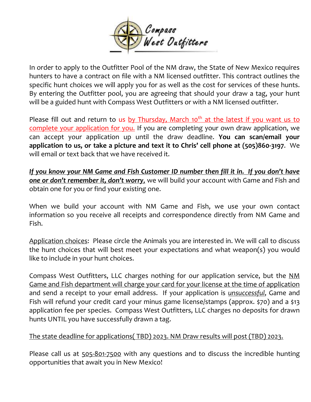

In order to apply to the Outfitter Pool of the NM draw, the State of New Mexico requires hunters to have a contract on file with a NM licensed outfitter. This contract outlines the specific hunt choices we will apply you for as well as the cost for services of these hunts. By entering the Outfitter pool, you are agreeing that should your draw a tag, your hunt will be a guided hunt with Compass West Outfitters or with a NM licensed outfitter.

Please fill out and return to us by Thursday, March 10<sup>th</sup> at the latest if you want us to complete your application for you. If you are completing your own draw application, we can accept your application up until the draw deadline. **You can scan/email your application to us, or take a picture and text it to Chris' cell phone at (505)860-3197**. We will email or text back that we have received it.

*If you know your NM Game and Fish Customer ID number then fill it in. If you don't have one or don't remember it, don't worry,* we will build your account with Game and Fish and obtain one for you or find your existing one.

When we build your account with NM Game and Fish, we use your own contact information so you receive all receipts and correspondence directly from NM Game and Fish.

Application choices: Please circle the Animals you are interested in. We will call to discuss the hunt choices that will best meet your expectations and what weapon(s) you would like to include in your hunt choices.

Compass West Outfitters, LLC charges nothing for our application service, but the NM Game and Fish department will charge your card for your license at the time of application and send a receipt to your email address. If your application is *unsuccessful*, Game and Fish will refund your credit card your minus game license/stamps (approx. \$70) and a \$13 application fee per species. Compass West Outfitters, LLC charges no deposits for drawn hunts UNTIL you have successfully drawn a tag.

## The state deadline for applications( TBD) 2023. NM Draw results will post (TBD) 2023.

Please call us at 505-801-7500 with any questions and to discuss the incredible hunting opportunities that await you in New Mexico!